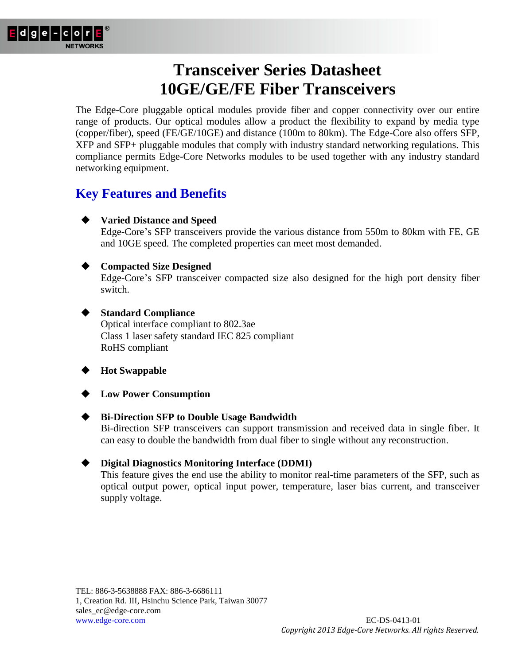

The Edge-Core pluggable optical modules provide fiber and copper connectivity over our entire range of products. Our optical modules allow a product the flexibility to expand by media type (copper/fiber), speed (FE/GE/10GE) and distance (100m to 80km). The Edge-Core also offers SFP, XFP and SFP+ pluggable modules that comply with industry standard networking regulations. This compliance permits Edge-Core Networks modules to be used together with any industry standard networking equipment.

### **Key Features and Benefits**

**Varied Distance and Speed**

Edge-Core's SFP transceivers provide the various distance from 550m to 80km with FE, GE and 10GE speed. The completed properties can meet most demanded.

#### **Compacted Size Designed**

Edge-Core's SFP transceiver compacted size also designed for the high port density fiber switch.

#### **Standard Compliance**

Optical interface compliant to 802.3ae Class 1 laser safety standard IEC 825 compliant RoHS compliant

### **Hot Swappable**

**Low Power Consumption**

#### **Bi-Direction SFP to Double Usage Bandwidth**

Bi-direction SFP transceivers can support transmission and received data in single fiber. It can easy to double the bandwidth from dual fiber to single without any reconstruction.

#### **Digital Diagnostics Monitoring Interface (DDMI)**

This feature gives the end use the ability to monitor real-time parameters of the SFP, such as optical output power, optical input power, temperature, laser bias current, and transceiver supply voltage.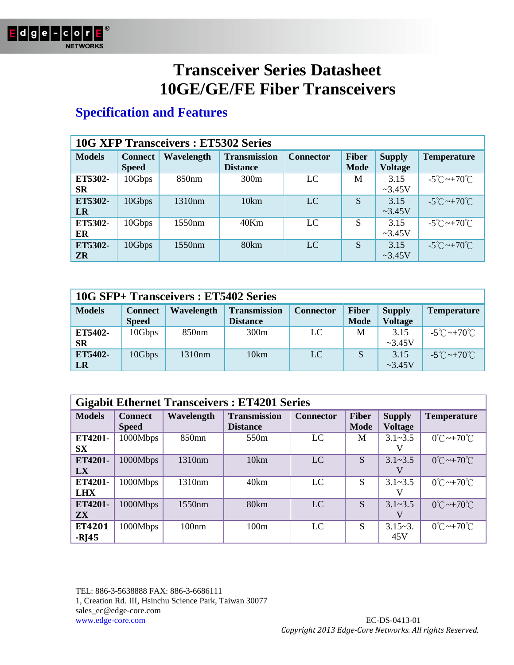

### **Specification and Features**

|                      | <b>10G XFP Transceivers: ET5302 Series</b> |                   |                                        |                  |                             |                                 |                                   |  |  |  |
|----------------------|--------------------------------------------|-------------------|----------------------------------------|------------------|-----------------------------|---------------------------------|-----------------------------------|--|--|--|
| <b>Models</b>        | <b>Connect</b><br><b>Speed</b>             | Wavelength        | <b>Transmission</b><br><b>Distance</b> | <b>Connector</b> | <b>Fiber</b><br><b>Mode</b> | <b>Supply</b><br><b>Voltage</b> | <b>Temperature</b>                |  |  |  |
| ET5302-<br>SR        | 10Gbps                                     | 850 <sub>nm</sub> | 300m                                   | LC               | M                           | 3.15<br>$\sim$ 3.45V            | $-5^{\circ}$ C ~+70 $^{\circ}$ C  |  |  |  |
| ET5302-<br><b>LR</b> | 10Gbps                                     | 1310nm            | 10km                                   | LC               | S                           | 3.15<br>$\sim 3.45V$            | $-5^{\circ}$ C ~ +70 $^{\circ}$ C |  |  |  |
| ET5302-<br>ER        | 10Gbps                                     | 1550nm            | 40Km                                   | LC               | S                           | 3.15<br>$\sim$ 3.45V            | $-5^{\circ}$ C ~ $+70^{\circ}$ C  |  |  |  |
| ET5302-<br><b>ZR</b> | 10Gbps                                     | 1550nm            | 80km                                   | LC               | S                           | 3.15<br>$\sim 3.45V$            | $-5^{\circ}$ C ~ +70 $^{\circ}$ C |  |  |  |

| 10G SFP+ Transceivers: ET5402 Series |                                |                   |                                        |                  |                             |                                 |                                   |  |
|--------------------------------------|--------------------------------|-------------------|----------------------------------------|------------------|-----------------------------|---------------------------------|-----------------------------------|--|
| <b>Models</b>                        | <b>Connect</b><br><b>Speed</b> | Wavelength        | <b>Transmission</b><br><b>Distance</b> | <b>Connector</b> | <b>Fiber</b><br><b>Mode</b> | <b>Supply</b><br><b>Voltage</b> | <b>Temperature</b>                |  |
| ET5402-<br><b>SR</b>                 | 10Gbps                         | 850 <sub>nm</sub> | 300m                                   | LC               | M                           | 3.15<br>$\sim$ 3.45V            | $-5^{\circ}$ C ~ $+70^{\circ}$ C  |  |
| ET5402-<br>LR                        | 10Gbps                         | 1310nm            | 10km                                   | LC               | S                           | 3.15<br>$\sim$ 3.45V            | $-5^{\circ}$ C ~ +70 $^{\circ}$ C |  |

|                       | <b>Gigabit Ethernet Transceivers: ET4201 Series</b> |                   |                                        |                  |                             |                                 |                                   |  |  |  |
|-----------------------|-----------------------------------------------------|-------------------|----------------------------------------|------------------|-----------------------------|---------------------------------|-----------------------------------|--|--|--|
| <b>Models</b>         | <b>Connect</b><br><b>Speed</b>                      | Wavelength        | <b>Transmission</b><br><b>Distance</b> | <b>Connector</b> | <b>Fiber</b><br><b>Mode</b> | <b>Supply</b><br><b>Voltage</b> | <b>Temperature</b>                |  |  |  |
| ET4201-<br><b>SX</b>  | 1000Mbps                                            | 850 <sub>mn</sub> | 550 <sub>m</sub>                       | <b>LC</b>        | M                           | $3.1 - 3.5$                     | $0^{\circ}$ C ~+70 $^{\circ}$ C   |  |  |  |
| ET4201-<br>LX         | 1000Mbps                                            | 1310nm            | 10km                                   | <b>LC</b>        | S                           | $3.1 - 3.5$                     | $0^{\circ}$ C ~ + 70 $^{\circ}$ C |  |  |  |
| ET4201-<br><b>LHX</b> | 1000Mbps                                            | 1310nm            | 40km                                   | LC               | S                           | $3.1 - 3.5$                     | $0^{\circ}$ C ~ +70 $^{\circ}$ C  |  |  |  |
| ET4201-<br><b>ZX</b>  | 1000Mbps                                            | 1550nm            | 80 <sub>km</sub>                       | <b>LC</b>        | S                           | $3.1 - 3.5$                     | $0^{\circ}$ C ~ +70 $^{\circ}$ C  |  |  |  |
| ET4201<br>$-RJ45$     | 1000Mbps                                            | 100nm             | 100 <sub>m</sub>                       | LC               | S                           | $3.15 - 3.$<br>45V              | $0^{\circ}$ C ~ + 70 $^{\circ}$ C |  |  |  |

TEL: 886-3-5638888 FAX: 886-3-6686111 1, Creation Rd. III, Hsinchu Science Park, Taiwan 30077 sales\_ec@edge-core.com www.edge-core.com EC-DS-0413-01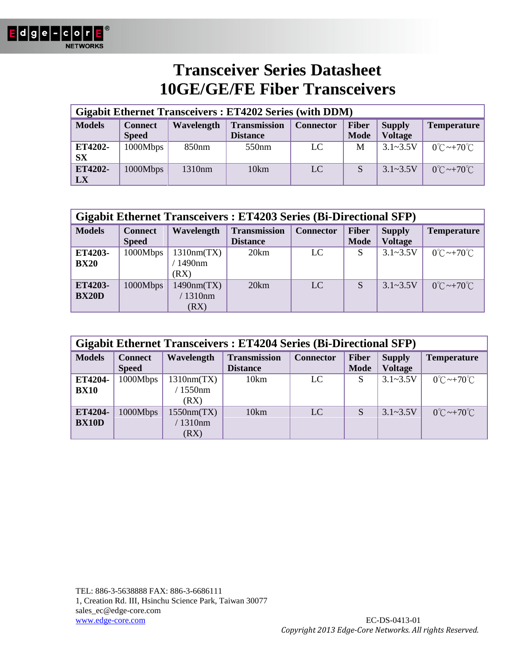

| <b>Gigabit Ethernet Transceivers: ET4202 Series (with DDM)</b> |                                 |                    |                   |     |   |              |                                  |  |  |
|----------------------------------------------------------------|---------------------------------|--------------------|-------------------|-----|---|--------------|----------------------------------|--|--|
| <b>Models</b>                                                  | <b>Supply</b><br><b>Voltage</b> | <b>Temperature</b> |                   |     |   |              |                                  |  |  |
| ET4202-<br><b>SX</b>                                           | 1000Mbps                        | 850 <sub>nm</sub>  | 550 <sub>nm</sub> | LC  | M | $3.1 - 3.5V$ | $0^{\circ}$ C ~+70 $^{\circ}$ C  |  |  |
| ET4202-<br>LX                                                  | 1000Mbps                        | 1310 <sub>nm</sub> | 10km              | LC. |   | $3.1 - 3.5V$ | $0^{\circ}$ C ~ +70 $^{\circ}$ C |  |  |

| <b>Gigabit Ethernet Transceivers: ET4203 Series (Bi-Directional SFP)</b> |                                |                                  |                                        |                  |                             |                                 |                                  |  |  |
|--------------------------------------------------------------------------|--------------------------------|----------------------------------|----------------------------------------|------------------|-----------------------------|---------------------------------|----------------------------------|--|--|
| <b>Models</b>                                                            | <b>Connect</b><br><b>Speed</b> | Wavelength                       | <b>Transmission</b><br><b>Distance</b> | <b>Connector</b> | <b>Fiber</b><br><b>Mode</b> | <b>Supply</b><br><b>Voltage</b> | <b>Temperature</b>               |  |  |
| ET4203-<br><b>BX20</b>                                                   | 1000Mbps                       | 1310nm(TX)<br>1490nm<br>(RX)     | 20km                                   | LC               | S                           | $3.1 - 3.5V$                    | $0^{\circ}$ C ~+70 $^{\circ}$ C  |  |  |
| ET4203-<br><b>BX20D</b>                                                  | 1000Mbps                       | 1490nm(TX)<br>$/1310$ nm<br>(RX) | 20km                                   | LC               | S                           | $3.1 - 3.5V$                    | $0^{\circ}$ C ~ +70 $^{\circ}$ C |  |  |

| <b>Gigabit Ethernet Transceivers: ET4204 Series (Bi-Directional SFP)</b>                                                                                   |          |                                  |      |    |   |              |                                 |  |
|------------------------------------------------------------------------------------------------------------------------------------------------------------|----------|----------------------------------|------|----|---|--------------|---------------------------------|--|
| <b>Transmission</b><br><b>Models</b><br><b>Fiber</b><br>Wavelength<br><b>Connector</b><br><b>Connect</b><br><b>Mode</b><br><b>Speed</b><br><b>Distance</b> |          |                                  |      |    |   |              | <b>Temperature</b>              |  |
| ET4204-<br><b>BX10</b>                                                                                                                                     | 1000Mbps | 1310nm(TX)<br>$/1550$ nm<br>(RX) | 10km | LC | S | $3.1 - 3.5V$ | $0^{\circ}$ C ~+70 $^{\circ}$ C |  |
| ET4204-<br><b>BX10D</b>                                                                                                                                    | 1000Mbps | 1550nm(TX)<br>$/1310$ nm<br>(RX) | 10km | LC | S | $3.1 - 3.5V$ | $0^{\circ}$ C ~+70 $^{\circ}$ C |  |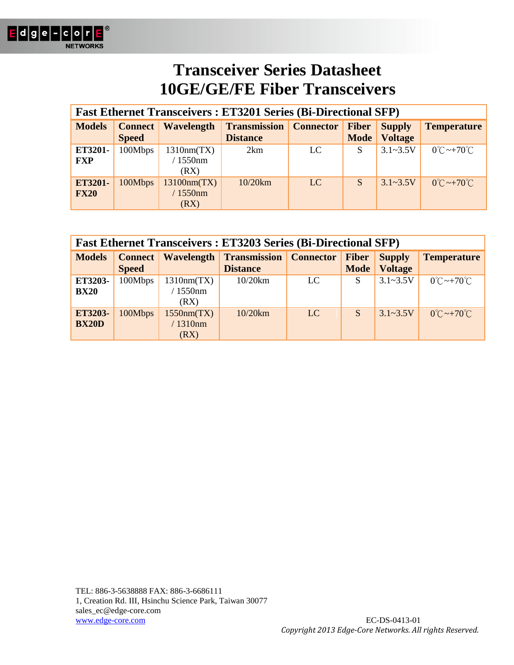

| <b>Fast Ethernet Transceivers: ET3201 Series (Bi-Directional SFP)</b> |                           |                                   |                    |           |   |              |                                  |  |
|-----------------------------------------------------------------------|---------------------------|-----------------------------------|--------------------|-----------|---|--------------|----------------------------------|--|
| <b>Models</b>                                                         | Connect  <br><b>Speed</b> | <b>Supply</b><br><b>Voltage</b>   | <b>Temperature</b> |           |   |              |                                  |  |
| ET3201-<br><b>FXP</b>                                                 | 100Mbps                   | 1310nm(TX)<br>$1550$ nm<br>(RX)   | 2km                | LC        | S | $3.1 - 3.5V$ | $0^{\circ}$ C ~+70 $^{\circ}$ C  |  |
| ET3201-<br><b>FX20</b>                                                | 100Mbps                   | 13100nm(TX)<br>$/1550$ nm<br>(RX) | 10/20km            | <b>LC</b> | S | $3.1 - 3.5V$ | $0^{\circ}$ C ~ +70 $^{\circ}$ C |  |

| <b>Fast Ethernet Transceivers: ET3203 Series (Bi-Directional SFP)</b> |                           |                                  |                                        |                  |                             |                                 |                                  |  |  |
|-----------------------------------------------------------------------|---------------------------|----------------------------------|----------------------------------------|------------------|-----------------------------|---------------------------------|----------------------------------|--|--|
| <b>Models</b>                                                         | Connect  <br><b>Speed</b> | Wavelength                       | <b>Transmission</b><br><b>Distance</b> | <b>Connector</b> | <b>Fiber</b><br><b>Mode</b> | <b>Supply</b><br><b>Voltage</b> | <b>Temperature</b>               |  |  |
| ET3203-<br><b>BX20</b>                                                | 100Mbps                   | 1310nm(TX)<br>1550nm<br>(RX)     | 10/20km                                | LC               | S                           | $3.1 - 3.5V$                    | $0^{\circ}$ C ~ +70 $^{\circ}$ C |  |  |
| ET3203-<br><b>BX20D</b>                                               | 100Mbps                   | 1550nm(TX)<br>$/1310$ nm<br>(RX) | 10/20km                                | LC               | S                           | $3.1 - 3.5V$                    | $0^{\circ}$ C ~ +70 $^{\circ}$ C |  |  |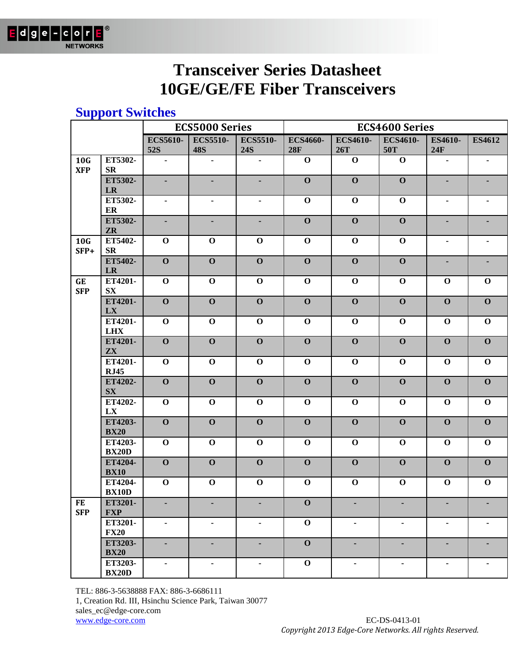

### **Support Switches**

|                         |                                   |                               | <b>ECS5000 Series</b>         |                               |                        |                        | <b>ECS4600 Series</b>   |                |                         |
|-------------------------|-----------------------------------|-------------------------------|-------------------------------|-------------------------------|------------------------|------------------------|-------------------------|----------------|-------------------------|
|                         |                                   | <b>ECS5610-</b><br><b>52S</b> | <b>ECS5510-</b><br><b>48S</b> | <b>ECS5510-</b><br><b>24S</b> | <b>ECS4660-</b><br>28F | <b>ECS4610-</b><br>26T | <b>ECS4610-</b><br>50T  | ES4610-<br>24F | <b>ES4612</b>           |
| 10G<br><b>XFP</b>       | ET5302-<br>$S_{\rm R}$            | $\blacksquare$                | $\blacksquare$                | $\blacksquare$                | $\mathbf 0$            | $\mathbf 0$            | $\mathbf 0$             | $\blacksquare$ | ۰                       |
|                         | ET5302-<br>LR                     | ٠                             | ٠                             | ٠                             | $\mathbf 0$            | $\mathbf 0$            | $\overline{\mathbf{0}}$ | ٠              |                         |
|                         | ET5302-<br>ER                     | ٠                             | ۰                             | ۰                             | $\mathbf 0$            | $\mathbf 0$            | $\mathbf 0$             | $\blacksquare$ |                         |
|                         | ET5302-<br>ZR                     | $\blacksquare$                | ٠                             | ٠                             | $\mathbf 0$            | $\mathbf 0$            | $\overline{\mathbf{0}}$ |                |                         |
| 10G<br>SFP+             | ET5402-<br>$S_{R}$                | $\mathbf 0$                   | $\mathbf 0$                   | $\mathbf 0$                   | $\mathbf 0$            | $\mathbf 0$            | $\mathbf 0$             | $\blacksquare$ |                         |
|                         | ET5402-<br>LR                     | $\mathbf{O}$                  | $\mathbf{O}$                  | $\mathbf{O}$                  | $\mathbf 0$            | $\mathbf 0$            | $\mathbf 0$             | ٠              |                         |
| <b>GE</b><br><b>SFP</b> | ET4201-<br>${\bf S}{\bf X}$       | $\mathbf 0$                   | $\mathbf 0$                   | $\mathbf 0$                   | $\mathbf 0$            | $\mathbf 0$            | $\mathbf 0$             | $\mathbf 0$    | $\mathbf 0$             |
|                         | ET4201-<br>LX                     | $\mathbf{O}$                  | $\mathbf{O}$                  | $\mathbf{O}$                  | $\mathbf 0$            | $\mathbf 0$            | $\mathbf 0$             | $\mathbf 0$    | $\mathbf{O}$            |
|                         | ET4201-<br><b>LHX</b>             | $\mathbf 0$                   | $\mathbf 0$                   | $\mathbf 0$                   | $\mathbf 0$            | $\mathbf 0$            | $\mathbf 0$             | $\mathbf 0$    | $\mathbf 0$             |
|                         | ET4201-<br>$\mathbf{Z}\mathbf{X}$ | $\mathbf{O}$                  | $\mathbf{O}$                  | $\mathbf{O}$                  | $\mathbf 0$            | $\mathbf 0$            | $\mathbf 0$             | $\mathbf 0$    | $\overline{\mathbf{O}}$ |
|                         | ET4201-<br><b>RJ45</b>            | $\mathbf 0$                   | $\mathbf 0$                   | $\mathbf 0$                   | $\mathbf 0$            | $\mathbf 0$            | $\mathbf 0$             | $\mathbf 0$    | $\mathbf 0$             |
|                         | ET4202-<br>$S_{\text{X}}$         | $\mathbf 0$                   | $\mathbf{O}$                  | $\mathbf{O}$                  | $\mathbf 0$            | $\mathbf 0$            | $\mathbf 0$             | $\mathbf 0$    | $\mathbf{o}$            |
|                         | ET4202-<br>LX                     | $\mathbf 0$                   | $\mathbf 0$                   | $\mathbf 0$                   | $\mathbf 0$            | $\mathbf 0$            | $\mathbf 0$             | $\mathbf 0$    | $\mathbf 0$             |
|                         | ET4203-<br><b>BX20</b>            | $\mathbf 0$                   | $\mathbf{O}$                  | $\mathbf 0$                   | $\mathbf 0$            | $\mathbf 0$            | $\mathbf 0$             | $\mathbf 0$    | $\mathbf{O}$            |
|                         | ET4203-<br><b>BX20D</b>           | $\mathbf 0$                   | $\mathbf 0$                   | $\mathbf 0$                   | $\mathbf 0$            | $\mathbf 0$            | $\mathbf 0$             | $\mathbf 0$    | $\mathbf 0$             |
|                         | ET4204-<br><b>BX10</b>            | $\mathbf 0$                   | $\mathbf{O}$                  | $\mathbf{O}$                  | $\mathbf 0$            | $\mathbf 0$            | $\mathbf 0$             | $\mathbf 0$    | $\mathbf{O}$            |
|                         | ET4204-<br><b>BX10D</b>           | $\mathbf 0$                   | $\mathbf 0$                   | $\mathbf 0$                   | $\mathbf 0$            | $\mathbf 0$            | $\mathbf 0$             | $\mathbf 0$    | $\mathbf 0$             |
| <b>FE</b><br><b>SFP</b> | ET3201-<br><b>FXP</b>             | ۰                             | ٠                             | ٠                             | $\mathbf{O}$           |                        | ٠                       |                |                         |
|                         | ET3201-<br><b>FX20</b>            | $\blacksquare$                | ٠                             | ٠                             | $\mathbf 0$            |                        | ۰                       |                |                         |
|                         | ET3203-<br><b>BX20</b>            |                               | ٠                             |                               | $\mathbf 0$            |                        |                         |                |                         |
|                         | ET3203-<br><b>BX20D</b>           | $\blacksquare$                | ٠                             | ٠                             | $\mathbf 0$            |                        | ۰                       | $\blacksquare$ |                         |

TEL: 886-3-5638888 FAX: 886-3-6686111

1, Creation Rd. III, Hsinchu Science Park, Taiwan 30077

sales\_ec@edge-core.com

www.edge-core.com EC-DS-0413-01 *Copyright 2013 Edge-Core Networks. All rights Reserved.*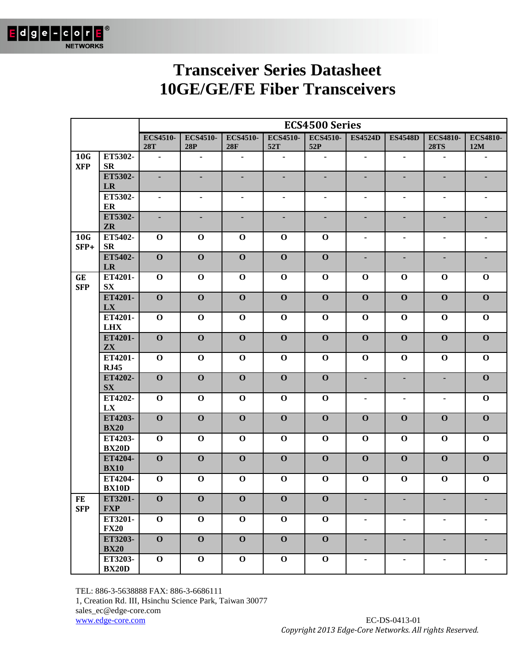

|                         |                             |                               | <b>ECS4500 Series</b>  |                        |                        |                        |                          |                |                                |                        |  |
|-------------------------|-----------------------------|-------------------------------|------------------------|------------------------|------------------------|------------------------|--------------------------|----------------|--------------------------------|------------------------|--|
|                         |                             | <b>ECS4510-</b><br><b>28T</b> | <b>ECS4510-</b><br>28P | <b>ECS4510-</b><br>28F | <b>ECS4510-</b><br>52T | <b>ECS4510-</b><br>52P | <b>ES4524D</b>           | <b>ES4548D</b> | <b>ECS4810-</b><br><b>28TS</b> | <b>ECS4810-</b><br>12M |  |
| 10G<br><b>XFP</b>       | ET5302-<br><b>SR</b>        | $\blacksquare$                | $\blacksquare$         | $\blacksquare$         | $\blacksquare$         | $\blacksquare$         | $\blacksquare$           | $\blacksquare$ | $\blacksquare$                 | $\blacksquare$         |  |
|                         | ET5302-<br>LR               | ä,                            | ÷.                     | ä,                     | ä,                     | ٠                      | ä,                       | ä,             | ÷,                             |                        |  |
|                         | ET5302-<br>ER               | $\blacksquare$                | $\blacksquare$         | $\blacksquare$         | $\blacksquare$         | $\blacksquare$         | $\overline{\phantom{0}}$ | $\blacksquare$ | $\qquad \qquad \blacksquare$   | $\blacksquare$         |  |
|                         | ET5302-<br><b>ZR</b>        | ٠                             | ٠                      | ٠                      | ٠                      |                        | ٠                        | ٠              | ٠                              |                        |  |
| 10G<br>SFP+             | ET5402-<br><b>SR</b>        | $\mathbf 0$                   | $\mathbf 0$            | $\mathbf 0$            | $\mathbf 0$            | $\mathbf 0$            | $\blacksquare$           | $\blacksquare$ | ٠                              | $\blacksquare$         |  |
|                         | ET5402-<br><b>LR</b>        | $\mathbf{O}$                  | $\mathbf{O}$           | $\mathbf{O}$           | $\mathbf 0$            | $\mathbf 0$            | ÷,                       | ٠              | ٠                              |                        |  |
| <b>GE</b><br><b>SFP</b> | ET4201-<br>$S_{\mathbf{X}}$ | $\mathbf 0$                   | $\mathbf 0$            | $\mathbf 0$            | $\mathbf 0$            | $\mathbf 0$            | $\mathbf 0$              | $\mathbf 0$    | $\mathbf 0$                    | $\mathbf 0$            |  |
|                         | ET4201-<br>LX               | $\mathbf{O}$                  | $\mathbf{O}$           | $\mathbf{O}$           | $\mathbf 0$            | $\mathbf{O}$           | $\mathbf 0$              | $\mathbf{O}$   | $\mathbf 0$                    | $\mathbf{O}$           |  |
|                         | ET4201-<br><b>LHX</b>       | $\mathbf 0$                   | $\mathbf 0$            | $\mathbf 0$            | $\mathbf 0$            | $\mathbf 0$            | $\mathbf 0$              | $\mathbf 0$    | $\mathbf 0$                    | $\mathbf 0$            |  |
|                         | ET4201-<br>ZX               | $\mathbf{O}$                  | $\mathbf{O}$           | $\mathbf{O}$           | $\mathbf 0$            | $\mathbf{O}$           | $\mathbf 0$              | $\mathbf{O}$   | $\mathbf{O}$                   | $\mathbf{O}$           |  |
|                         | ET4201-<br><b>RJ45</b>      | $\mathbf{O}$                  | $\mathbf 0$            | $\mathbf 0$            | $\mathbf 0$            | $\mathbf 0$            | $\mathbf 0$              | $\mathbf 0$    | $\mathbf 0$                    | $\mathbf 0$            |  |
|                         | ET4202-<br><b>SX</b>        | $\mathbf{O}$                  | $\mathbf{O}$           | $\mathbf{O}$           | $\mathbf 0$            | $\mathbf{O}$           | ÷,                       | $\blacksquare$ | ٠                              | $\mathbf{O}$           |  |
|                         | ET4202-<br>LX               | $\mathbf{O}$                  | $\mathbf 0$            | $\mathbf 0$            | $\mathbf 0$            | $\mathbf 0$            | $\blacksquare$           | $\blacksquare$ | $\blacksquare$                 | $\mathbf 0$            |  |
|                         | ET4203-<br><b>BX20</b>      | $\mathbf{O}$                  | $\mathbf{O}$           | $\mathbf{O}$           | $\mathbf 0$            | $\mathbf{O}$           | $\mathbf 0$              | $\mathbf 0$    | $\mathbf{O}$                   | $\mathbf{O}$           |  |
|                         | ET4203-<br><b>BX20D</b>     | $\mathbf 0$                   | $\mathbf 0$            | $\mathbf 0$            | $\mathbf 0$            | $\mathbf 0$            | $\mathbf 0$              | $\mathbf 0$    | $\mathbf 0$                    | $\mathbf 0$            |  |
|                         | ET4204-<br><b>BX10</b>      | $\mathbf{O}$                  | $\mathbf{O}$           | $\mathbf{O}$           | $\mathbf 0$            | $\mathbf{O}$           | $\mathbf{0}$             | $\mathbf{O}$   | $\mathbf 0$                    | $\mathbf{O}$           |  |
|                         | ET4204-<br><b>BX10D</b>     | $\mathbf 0$                   | $\mathbf 0$            | $\mathbf 0$            | $\mathbf 0$            | $\mathbf 0$            | $\mathbf 0$              | $\mathbf 0$    | $\mathbf 0$                    | $\mathbf 0$            |  |
| FE<br><b>SFP</b>        | ET3201-<br><b>FXP</b>       | $\mathbf 0$                   | $\mathbf 0$            | $\mathbf 0$            | $\mathbf 0$            | $\mathbf 0$            |                          | ٠              |                                |                        |  |
|                         | ET3201-<br><b>FX20</b>      | $\mathbf 0$                   | $\mathbf 0$            | $\mathbf 0$            | $\mathbf 0$            | $\mathbf 0$            | $\blacksquare$           | $\blacksquare$ | ٠                              | $\blacksquare$         |  |
|                         | ET3203-<br><b>BX20</b>      | $\mathbf{O}$                  | $\mathbf{O}$           | $\mathbf{O}$           | $\mathbf 0$            | $\mathbf{O}$           | ٠                        | ٠              | ٠                              | $\blacksquare$         |  |
|                         | ET3203-<br><b>BX20D</b>     | $\mathbf 0$                   | $\mathbf 0$            | $\mathbf 0$            | $\mathbf 0$            | $\mathbf 0$            | $\blacksquare$           | $\blacksquare$ | $\qquad \qquad \blacksquare$   | $\blacksquare$         |  |

TEL: 886-3-5638888 FAX: 886-3-6686111

1, Creation Rd. III, Hsinchu Science Park, Taiwan 30077

sales\_ec@edge-core.com

www.edge-core.com EC-DS-0413-01 *Copyright 2013 Edge-Core Networks. All rights Reserved.*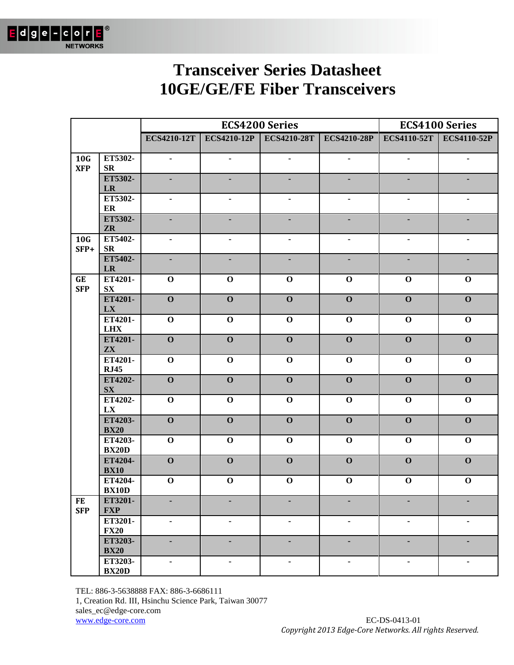

|                         |                                   |                          | <b>ECS4200 Series</b>   |                              |                              |                         | <b>ECS4100 Series</b>          |
|-------------------------|-----------------------------------|--------------------------|-------------------------|------------------------------|------------------------------|-------------------------|--------------------------------|
|                         |                                   | <b>ECS4210-12T</b>       |                         | ECS4210-12P ECS4210-28T      | <b>ECS4210-28P</b>           |                         | <b>ECS4110-52T</b> ECS4110-52P |
| 10G<br><b>XFP</b>       | ET5302-<br>${\bf SR}$             | $\overline{\phantom{0}}$ |                         | $\qquad \qquad \blacksquare$ | $\qquad \qquad \blacksquare$ | ٠                       | ٠                              |
|                         | ET5302-<br>$\mathbf{L}\mathbf{R}$ |                          |                         |                              |                              |                         |                                |
|                         | ET5302-<br>ER                     |                          |                         |                              |                              |                         |                                |
|                         | ET5302-<br>${\bf Z}{\bf R}$       |                          |                         |                              |                              |                         |                                |
| 10G<br>SFP+             | ET5402-<br><b>SR</b>              |                          |                         |                              |                              | ٠                       |                                |
|                         | ET5402-<br>${\bf LR}$             |                          |                         |                              |                              |                         |                                |
| GE<br><b>SFP</b>        | ET4201-<br>${\bf S}{\bf X}$       | $\mathbf 0$              | $\mathbf 0$             | $\mathbf 0$                  | $\mathbf 0$                  | $\mathbf 0$             | $\mathbf 0$                    |
|                         | ET4201-<br>LX                     | $\overline{\mathbf{O}}$  | $\overline{\mathbf{0}}$ | $\overline{\mathbf{0}}$      | $\mathbf{O}$                 | $\mathbf{O}$            | $\mathbf{O}$                   |
|                         | ET4201-<br><b>LHX</b>             | $\mathbf 0$              | $\mathbf 0$             | $\mathbf 0$                  | $\mathbf 0$                  | $\mathbf 0$             | $\mathbf 0$                    |
|                         | ET4201-<br>$\mathbf{Z}\mathbf{X}$ | $\overline{\mathbf{0}}$  | $\overline{\mathbf{O}}$ | $\overline{\mathbf{O}}$      | $\mathbf{O}$                 | $\overline{\mathbf{O}}$ | $\overline{\mathbf{O}}$        |
|                         | ET4201-<br><b>RJ45</b>            | $\overline{\mathbf{0}}$  | $\mathbf 0$             | $\mathbf 0$                  | $\mathbf 0$                  | $\mathbf 0$             | $\mathbf 0$                    |
|                         | ET4202-<br>${\bf S}{\bf X}$       | $\overline{\mathbf{o}}$  | $\overline{\mathbf{O}}$ | $\overline{\mathbf{O}}$      | $\overline{\mathbf{O}}$      | $\overline{\mathbf{O}}$ | $\mathbf{O}$                   |
|                         | ET4202-<br>LX                     | $\overline{\mathbf{0}}$  | $\mathbf 0$             | $\mathbf 0$                  | $\mathbf 0$                  | $\mathbf 0$             | $\mathbf 0$                    |
|                         | ET4203-<br><b>BX20</b>            | $\overline{\mathbf{O}}$  | $\overline{\mathbf{O}}$ | $\mathbf{O}$                 | $\mathbf{O}$                 | $\mathbf 0$             | $\mathbf 0$                    |
|                         | ET4203-<br><b>BX20D</b>           | $\mathbf 0$              | $\mathbf 0$             | $\mathbf 0$                  | $\mathbf 0$                  | $\mathbf 0$             | $\mathbf 0$                    |
|                         | ET4204-<br><b>BX10</b>            | $\overline{\mathbf{O}}$  | $\mathbf{O}$            | $\mathbf{O}$                 | $\mathbf{O}$                 | $\mathbf{O}$            | $\mathbf{O}$                   |
|                         | ET4204-<br><b>BX10D</b>           | $\mathbf 0$              | $\mathbf 0$             | $\mathbf{o}$                 | $\mathbf 0$                  | $\mathbf 0$             | $\mathbf 0$                    |
| <b>FE</b><br><b>SFP</b> | ET3201-<br><b>FXP</b>             |                          |                         |                              |                              |                         | ٠                              |
|                         | ET3201-<br><b>FX20</b>            | -                        |                         |                              | $\blacksquare$               | ٠                       | ٠                              |
|                         | ET3203-<br><b>BX20</b>            |                          |                         |                              |                              |                         | ٠                              |
|                         | ET3203-<br><b>BX20D</b>           | -                        |                         |                              | $\blacksquare$               | $\blacksquare$          | ٠                              |

TEL: 886-3-5638888 FAX: 886-3-6686111

1, Creation Rd. III, Hsinchu Science Park, Taiwan 30077

sales\_ec@edge-core.com

www.edge-core.com EC-DS-0413-01 *Copyright 2013 Edge-Core Networks. All rights Reserved.*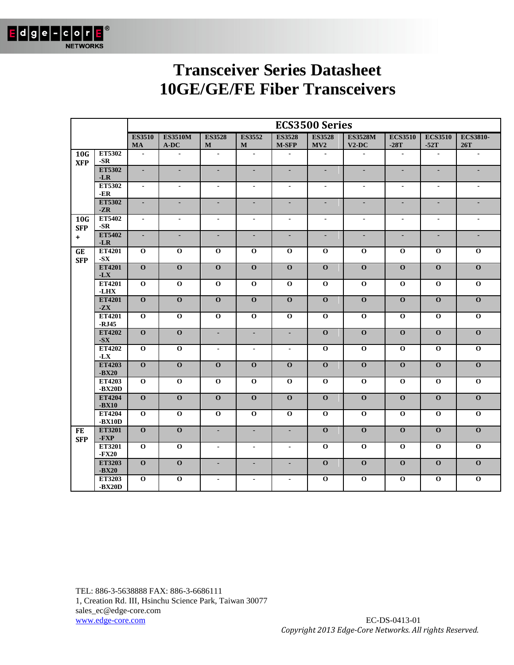

|                               |                    |                |                         |                         |                         |                         | <b>ECS3500 Series</b>    |                         |                |                          |                             |
|-------------------------------|--------------------|----------------|-------------------------|-------------------------|-------------------------|-------------------------|--------------------------|-------------------------|----------------|--------------------------|-----------------------------|
|                               |                    | <b>ES3510</b>  | <b>ES3510M</b>          | <b>ES3528</b>           | <b>ES3552</b>           | <b>ES3528</b>           | <b>ES3528</b>            | <b>ES3528M</b>          | <b>ECS3510</b> | <b>ECS3510</b>           | <b>ECS3810-</b>             |
|                               | ET5302             | <b>MA</b>      | A-DC                    | ${\bf M}$               | ${\bf M}$               | $M-SFP$                 | MV2                      | $V2-DC$                 | $-28T$         | $-52T$                   | 26T                         |
| 10 <sub>G</sub><br><b>XFP</b> | $-SR$              | $\blacksquare$ | $\blacksquare$          | $\blacksquare$          | $\blacksquare$          | $\blacksquare$          | $\blacksquare$           | $\blacksquare$          | $\blacksquare$ | $\sim$                   | $\blacksquare$              |
|                               | ET5302<br>$-LR$    | $\blacksquare$ | $\blacksquare$          | $\blacksquare$          | $\blacksquare$          | $\blacksquare$          | ÷.                       | $\blacksquare$          | $\blacksquare$ | $\blacksquare$           | $\mathcal{L}_{\mathcal{A}}$ |
|                               | ET5302<br>$-ER$    | $\sim$         | $\blacksquare$          | $\sim$                  | $\blacksquare$          | $\blacksquare$          | $\blacksquare$           | $\blacksquare$          | $\blacksquare$ | $\blacksquare$           | $\blacksquare$              |
|                               | ET5302<br>$-ZR$    | $\blacksquare$ |                         |                         | $\blacksquare$          | ٠                       | ٠                        | ÷.                      | ÷.             | ÷,                       |                             |
| 10 <sub>G</sub><br><b>SFP</b> | ET5402<br>$-SR$    | $\blacksquare$ | $\blacksquare$          | $\blacksquare$          | $\blacksquare$          | $\blacksquare$          | $\overline{\phantom{a}}$ | $\blacksquare$          | $\blacksquare$ | $\overline{\phantom{a}}$ | $\blacksquare$              |
| $\ddot{}$                     | ET5402<br>$-LR$    | $\blacksquare$ | $\blacksquare$          | $\blacksquare$          | $\blacksquare$          | ÷.                      | ÷                        | ä,                      | $\blacksquare$ | ÷                        | $\blacksquare$              |
| GE<br><b>SFP</b>              | ET4201<br>$-SX$    | $\mathbf{o}$   | $\mathbf{o}$            | $\mathbf{o}$            | $\mathbf{o}$            | $\mathbf{o}$            | $\bf{0}$                 | $\mathbf{o}$            | $\mathbf{o}$   | $\mathbf{o}$             | $\mathbf 0$                 |
|                               | ET4201<br>$-LX$    | $\Omega$       | $\Omega$                | $\Omega$                | $\mathbf{o}$            | $\Omega$                | $\Omega$                 | $\Omega$                | $\Omega$       | $\Omega$                 | $\Omega$                    |
|                               | ET4201<br>$-LHX$   | $\mathbf{o}$   | $\overline{0}$          | $\mathbf{o}$            | $\overline{0}$          | $\overline{0}$          | $\mathbf 0$              | $\overline{\mathbf{o}}$ | $\overline{0}$ | $\overline{0}$           | $\overline{0}$              |
|                               | ET4201<br>$-ZX$    | $\mathbf{o}$   | $\overline{0}$          | $\overline{\mathbf{O}}$ | $\overline{\mathbf{O}}$ | $\overline{0}$          | $\overline{0}$           | $\overline{0}$          | $\overline{0}$ | $\overline{0}$           | $\overline{0}$              |
|                               | ET4201<br>$-RJ45$  | $\mathbf{o}$   | $\mathbf{O}$            | $\mathbf{o}$            | $\mathbf 0$             | $\mathbf{O}$            | $\mathbf 0$              | $\mathbf 0$             | $\mathbf{o}$   | $\mathbf 0$              | $\mathbf 0$                 |
|                               | ET4202<br>$-SX$    | $\mathbf{o}$   | $\mathbf{O}$            | $\blacksquare$          | $\blacksquare$          | ٠                       | $\mathbf{O}$             | $\mathbf{O}$            | $\mathbf{o}$   | $\mathbf{o}$             | $\mathbf{o}$                |
|                               | ET4202<br>$-LX$    | $\mathbf{o}$   | $\overline{0}$          | $\blacksquare$          | $\blacksquare$          | $\blacksquare$          | $\mathbf 0$              | $\overline{\mathbf{o}}$ | $\mathbf{o}$   | $\mathbf 0$              | $\overline{0}$              |
|                               | ET4203<br>$-BX20$  | $\overline{0}$ | $\overline{\mathbf{0}}$ | $\overline{\mathbf{O}}$ | $\mathbf{o}$            | $\mathbf{O}$            | $\overline{0}$           | $\overline{0}$          | $\overline{0}$ | $\overline{0}$           | $\overline{0}$              |
|                               | ET4203<br>$-BX20D$ | $\mathbf{o}$   | $\overline{0}$          | $\mathbf{o}$            | $\overline{0}$          | $\overline{0}$          | $\mathbf 0$              | $\overline{\mathbf{o}}$ | $\mathbf{o}$   | $\mathbf 0$              | $\overline{0}$              |
|                               | ET4204             | $\mathbf{O}$   | $\overline{0}$          | $\overline{\mathbf{O}}$ | $\overline{0}$          | $\overline{\mathbf{0}}$ | $\overline{\mathbf{O}}$  | $\overline{0}$          | $\overline{0}$ | $\mathbf{O}$             | $\overline{0}$              |
|                               | $-BX10$<br>ET4204  | $\mathbf{o}$   | $\mathbf 0$             | $\mathbf{o}$            | $\mathbf{o}$            | $\mathbf{O}$            | $\mathbf 0$              | $\mathbf{o}$            | $\mathbf 0$    | $\mathbf 0$              | $\mathbf 0$                 |
| <b>FE</b>                     | $-BX10D$<br>ET3201 | $\mathbf{o}$   | $\mathbf{O}$            | $\blacksquare$          | $\blacksquare$          | $\blacksquare$          | $\mathbf{O}$             | $\mathbf{O}$            | $\mathbf{o}$   | $\mathbf{o}$             | $\mathbf{O}$                |
| <b>SFP</b>                    | -FXP<br>ET3201     | $\mathbf{o}$   | $\mathbf{O}$            | $\blacksquare$          | $\blacksquare$          | $\blacksquare$          | $\mathbf 0$              | $\mathbf{O}$            | $\mathbf{o}$   | $\mathbf{o}$             | $\mathbf 0$                 |
|                               | $-FX20$<br>ET3203  | $\mathbf{O}$   | $\overline{0}$          | $\blacksquare$          | $\blacksquare$          | $\blacksquare$          | $\mathbf{O}$             | $\overline{0}$          | $\mathbf{o}$   | $\mathbf{O}$             | $\overline{0}$              |
|                               | $-BX20$<br>ET3203  | $\mathbf{o}$   | $\mathbf{o}$            | $\blacksquare$          | $\blacksquare$          | $\blacksquare$          | $\mathbf 0$              | $\mathbf{o}$            | $\mathbf{o}$   | $\mathbf{o}$             | $\mathbf{o}$                |
|                               | $-BX20D$           |                |                         |                         |                         |                         |                          |                         |                |                          |                             |